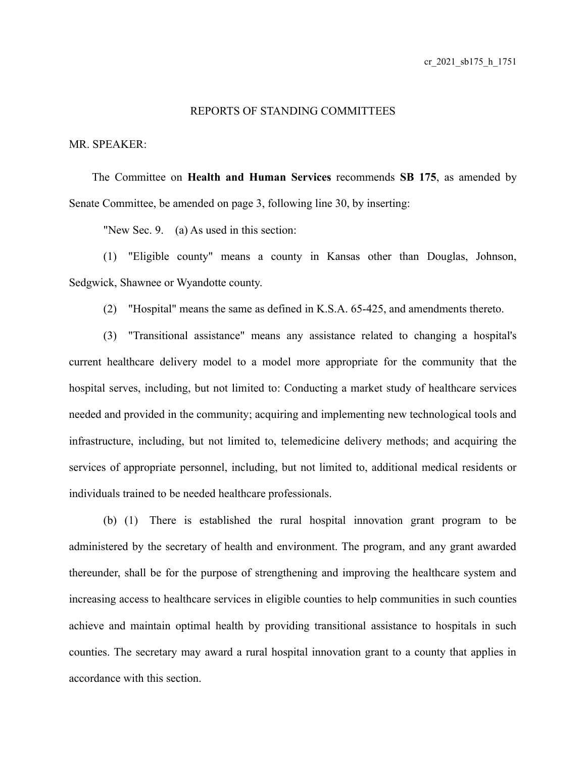## REPORTS OF STANDING COMMITTEES

## MR. SPEAKER:

The Committee on **Health and Human Services** recommends **SB 175**, as amended by Senate Committee, be amended on page 3, following line 30, by inserting:

"New Sec. 9. (a) As used in this section:

(1) "Eligible county" means a county in Kansas other than Douglas, Johnson, Sedgwick, Shawnee or Wyandotte county.

(2) "Hospital" means the same as defined in K.S.A. 65-425, and amendments thereto.

(3) "Transitional assistance" means any assistance related to changing a hospital's current healthcare delivery model to a model more appropriate for the community that the hospital serves, including, but not limited to: Conducting a market study of healthcare services needed and provided in the community; acquiring and implementing new technological tools and infrastructure, including, but not limited to, telemedicine delivery methods; and acquiring the services of appropriate personnel, including, but not limited to, additional medical residents or individuals trained to be needed healthcare professionals.

(b) (1) There is established the rural hospital innovation grant program to be administered by the secretary of health and environment. The program, and any grant awarded thereunder, shall be for the purpose of strengthening and improving the healthcare system and increasing access to healthcare services in eligible counties to help communities in such counties achieve and maintain optimal health by providing transitional assistance to hospitals in such counties. The secretary may award a rural hospital innovation grant to a county that applies in accordance with this section.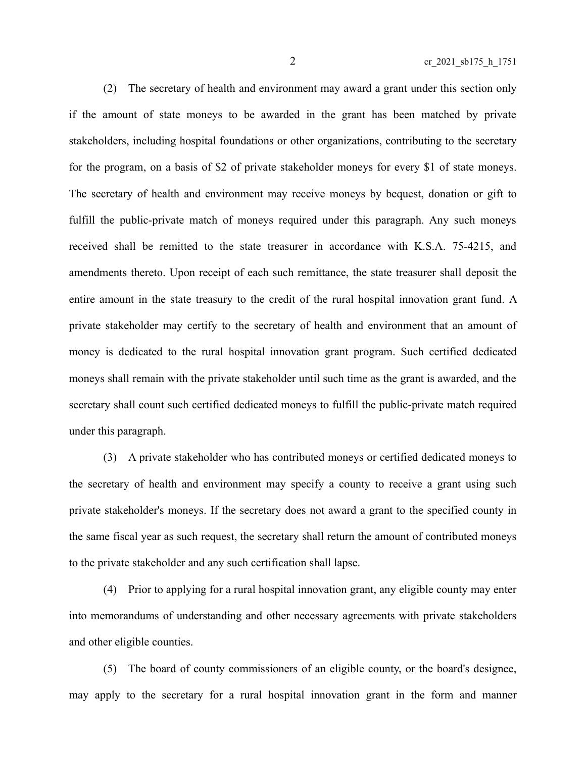(2) The secretary of health and environment may award a grant under this section only if the amount of state moneys to be awarded in the grant has been matched by private stakeholders, including hospital foundations or other organizations, contributing to the secretary for the program, on a basis of \$2 of private stakeholder moneys for every \$1 of state moneys. The secretary of health and environment may receive moneys by bequest, donation or gift to fulfill the public-private match of moneys required under this paragraph. Any such moneys received shall be remitted to the state treasurer in accordance with K.S.A. 75-4215, and amendments thereto. Upon receipt of each such remittance, the state treasurer shall deposit the entire amount in the state treasury to the credit of the rural hospital innovation grant fund. A private stakeholder may certify to the secretary of health and environment that an amount of money is dedicated to the rural hospital innovation grant program. Such certified dedicated moneys shall remain with the private stakeholder until such time as the grant is awarded, and the secretary shall count such certified dedicated moneys to fulfill the public-private match required under this paragraph.

(3) A private stakeholder who has contributed moneys or certified dedicated moneys to the secretary of health and environment may specify a county to receive a grant using such private stakeholder's moneys. If the secretary does not award a grant to the specified county in the same fiscal year as such request, the secretary shall return the amount of contributed moneys to the private stakeholder and any such certification shall lapse.

(4) Prior to applying for a rural hospital innovation grant, any eligible county may enter into memorandums of understanding and other necessary agreements with private stakeholders and other eligible counties.

(5) The board of county commissioners of an eligible county, or the board's designee, may apply to the secretary for a rural hospital innovation grant in the form and manner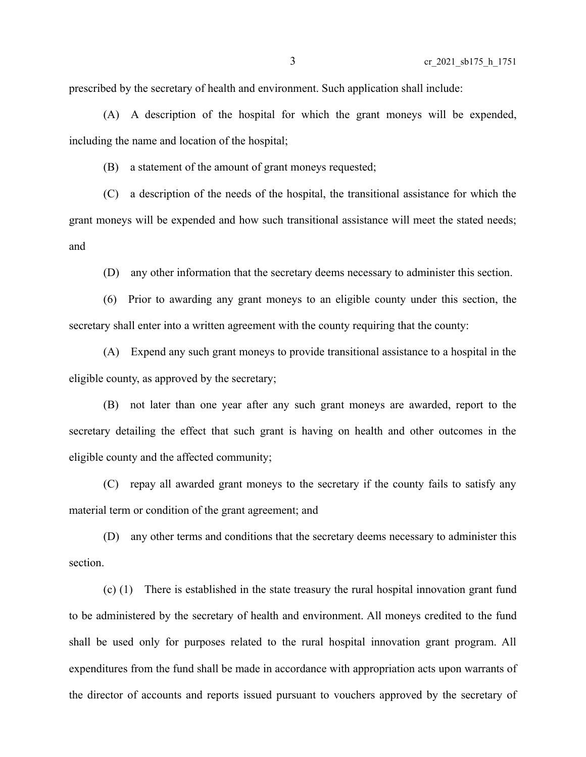prescribed by the secretary of health and environment. Such application shall include:

(A) A description of the hospital for which the grant moneys will be expended, including the name and location of the hospital;

(B) a statement of the amount of grant moneys requested;

(C) a description of the needs of the hospital, the transitional assistance for which the grant moneys will be expended and how such transitional assistance will meet the stated needs; and

(D) any other information that the secretary deems necessary to administer this section.

(6) Prior to awarding any grant moneys to an eligible county under this section, the secretary shall enter into a written agreement with the county requiring that the county:

(A) Expend any such grant moneys to provide transitional assistance to a hospital in the eligible county, as approved by the secretary;

(B) not later than one year after any such grant moneys are awarded, report to the secretary detailing the effect that such grant is having on health and other outcomes in the eligible county and the affected community;

(C) repay all awarded grant moneys to the secretary if the county fails to satisfy any material term or condition of the grant agreement; and

(D) any other terms and conditions that the secretary deems necessary to administer this section.

(c) (1) There is established in the state treasury the rural hospital innovation grant fund to be administered by the secretary of health and environment. All moneys credited to the fund shall be used only for purposes related to the rural hospital innovation grant program. All expenditures from the fund shall be made in accordance with appropriation acts upon warrants of the director of accounts and reports issued pursuant to vouchers approved by the secretary of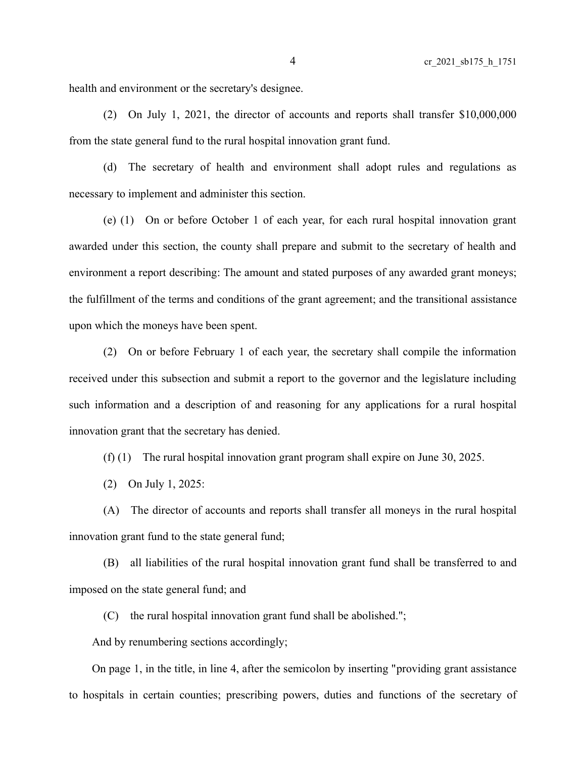health and environment or the secretary's designee.

(2) On July 1, 2021, the director of accounts and reports shall transfer \$10,000,000 from the state general fund to the rural hospital innovation grant fund.

(d) The secretary of health and environment shall adopt rules and regulations as necessary to implement and administer this section.

(e) (1) On or before October 1 of each year, for each rural hospital innovation grant awarded under this section, the county shall prepare and submit to the secretary of health and environment a report describing: The amount and stated purposes of any awarded grant moneys; the fulfillment of the terms and conditions of the grant agreement; and the transitional assistance upon which the moneys have been spent.

(2) On or before February 1 of each year, the secretary shall compile the information received under this subsection and submit a report to the governor and the legislature including such information and a description of and reasoning for any applications for a rural hospital innovation grant that the secretary has denied.

(f) (1) The rural hospital innovation grant program shall expire on June 30, 2025.

(2) On July 1, 2025:

(A) The director of accounts and reports shall transfer all moneys in the rural hospital innovation grant fund to the state general fund;

(B) all liabilities of the rural hospital innovation grant fund shall be transferred to and imposed on the state general fund; and

(C) the rural hospital innovation grant fund shall be abolished.";

And by renumbering sections accordingly;

On page 1, in the title, in line 4, after the semicolon by inserting "providing grant assistance to hospitals in certain counties; prescribing powers, duties and functions of the secretary of